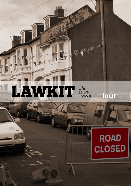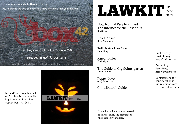### once you scratch the surface,

you might find top gear and service is more affordable than you imagined.

matching needs with solutions since 2007.

# www.box42av.com

event | hire | installation | web & video production | creative consultancy



**LAWKIT** as we know it

How Normal People Ruined The Internet for the Rest of Us David Lowry

Road Closed Katie Stevenson

Tell Us Another One Peter Huey

Pigeon Killer Ericka Lynch

The Guide to Gig Going (part 2) Jonathan Kirk

Puppy Love Gary McMurray

Contributor's Guide

Published by David Lowry http://lawk.it/dave

Curated by Peter Huey http://lawk.it/pete

Contributions for consideration in future editions are welcome at any time.

Issue #5 will be published on October 1st and the filing date for submissions is September 19th 2011.

> Thoughts and opinions expressed inside are solely the property of their respective authors.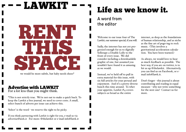# LAWKIT RENT THIS SPACE<br>We would be more subtle but baby needs shoes\*

we would be more subtle, but baby needs shoes\*

# Advertise with LAWKIT

For a lot less than you might think.

\*This is not strictly true. We're not out to make a quick buck. To keep the Lawkit a free journal, we need to cover costs. A small, select bunch of adverts per issue can achieve this.

'Select' is the word - we reserve the right to be picky.

If you think partnering with Lawkit is right for you, e-mail us via advertise@lawk.it For more: @thelawkit or e-mail info@lawk.it

# Life as we know it.

# A word from the editor

Welcome to our issue four of The Lawkit, our summer special, if you will.

Sadly, the internet has not yet progressed enough for us to digitally Sellotape a Double Lolly to the front of every issue. We did consider including a downloadable graphic of one, but assumed you wouldn't have found it as amusing as we would.

Instead, we've held off to pull in extra material for this issue, with six full articles for your perusal and enjoyment. And it's a pretty diverse bunch this time around. To whet your appetite, Lawkit #4 covers subjects as broad as the entire

internet, as deep as the foundations of human relationship, and as niche as the fine art of pogo-ing to rock music. (This involves a gravitational acceleration calculation. You have been warned.)

As always, we would love to hear as much feedback as possible. The best way, if you are on twitter, is to hit us up @thelawkit. Alternatively, you can find us on Facebook, or email info@lawk.it.

Don't forget - this journal is about contributing and reading in equal measure - why not write something for the next one? Contact us for more.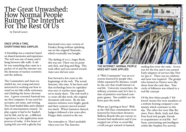# The Great Unwashed: How Normal People Ruined The Internet For The Rest Of Us

by David Lowry

#### Once upon a time, everything was simpler.

A friendship was a construct based on shared memories and experience. The web was one of many, and it hung between idle walls. A tablet was something that came in a packet of 16 and the internet was the demesne of nuclear scientists and the military.

The Commodore and Atari era eluded me, too young and more interested in working out how to stand on my bike while stationary, and climbing the horse chestnut tree. A green screened Amstrad was my first computer. It was used for accounts, not mine, and writing. Two front-loaded disks and a distinct lack of entertainment ensued. To play a game it had to be 'loaded', not by disk, not by air... a different experience to the application store process of today. A few hours of typing left you with a glitchy but

functional circa 1990 version of Donkey Kong without splashing out on the original Nintendo... which eventually was bought.

The darling of 2010, Angry Birds, this was not. There was no point and click, and drag and fling. This took effort and you earned reward. Auto-save did not exist.

Fast-forward a few years to the beginnings of the web. The actual Internet, this time. It has been said that technology loses its capitalisation once it reaches mass appeal; we're nearly there. The web itself is 20 years old this week, the original document still exists. By the late nineties websites were bright, garish and their contents moved around too much. Where hamsters danced, badgers followed a few years after. Floppy disks started to die out.

You remember it. That's probably when you Got The Internet.



The Internet: Normal People need not have applied.

A "Web Community" was an ecosystem fostered by people who, whilst separated by distance, would be the sort that would interact in real life. University researchers, the military, scientists and, let's face it, fans of primitive text-based computer games. You couldn't see the bytes past the nerds.

What am I getting at here? Well, in the Old Days communities were fostered by benevolent dictators. Bulletin Boards (the pre-cursors to forums) had moderators and if you stepped out of line or acted like a troll you got warned or banned;

mailing lists were the same. Access was for the few, and it was earned. Early adopters of services like Twitter 'got it'. There was no celebrity and none was required. The groups who formed on Twitter were like those from the early days. Your circle of followers was related to a real life concept.

Of the first thirty people I 'followed' twenty five were members of a website hosting company's community which continues to this day. The other five were Mac Rumors, Dave, Ruth, Andy and Alan. Four local web people: friends or acquaintance in real life. See? Soon, entertaining and intelligent celebs like Stephen Fry arrived,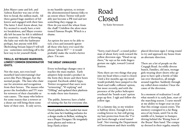John Mayer came and left, and Ashton Kutcher was one of the first to break the million mark. All three gained huge numbers of followers and engaged with their fans. The latter I don't know about, but Fry seemed to nearly have a twitter breakdown, and Mayer eventually left because he felt it inhibited his creativity. A case of throwing the baby out with the bathwater perhaps, but anyone with RSI (Refreshing Stream Injury?) will tell you - sometimes switching off is the best way to let yourself think.

#### **Trolls. Keyboard Warriors, Lowest common denominator idiots.**

Not the stars, not even loudmouthed (and entertaining) characters like Piers Morgan, but the normal people. The fans who clamour for attention and recognition from their heroes. The masses who pester the footballers and TV stars for retweets of their charitable or vain causes. The many who believe for some reason that a retweet or a shout out will bring them some fame of their own. It only serves,

in my humble opinion, to irritate the aforementioned famous folks to an extent where Twitter will probably just become a PR tool and not something they engage in. How do you weed the wheat from the chaff? Unfollow the afore-mentioned Famous People. Which is a shame.

An option for users to be able to tick a box and instantly ignore all those who have ever used the phrase "please RT" — it would probably make the world a better place. I'm sure.

#### **The Great Unwashed**

Every technology changes once it reaches the mass market. Early adopters help mould a product in the form they desire and their hosts respond. Facebook added Apps, Twitter recognised that users were "retweeting", "@-replying" and "DMing" and updated their platform to make these into features.

The public, however, have a habit of ruining the fun for everyone else.

David publishes the Lawkit but most of the time he's building websites for a design studio in Belfast, wishing he was a Proper Designer. He irregularly posts photos and writes at http://lawk.it/dave

# Road Closed

by Katie Stevenson

"Sorry, road closed", a round policeman of about forty nods toward the yellow diversion sign. "Head on up there," he says as his wide fingers gesture me right, toward Central **Station** 

Now, there are two things that pop into my head when a road is closed. Until a few months ago my mind would probably have jumped to the 'fatal road traffic collision' option, but more recently, and with the presence of the police helicopter overhead the 'bomb scare' option pops up first. I sigh and follow the yellow sign.

It's a clammy day, so my window is halfway down. Enough to let a cooling breeze in, but still giving my hair protection from the 'I've just been through a wind tunnel look'. Not trusting the Department of Environment and their terribly

placed diversion signs I swing round to try and approach my house from an alternate direction.

There are a lot of people on the Cregagh Road. An oddly diverse bunch, Families, old men, teenage girls wearing short shorts who appear to have spilt a bottle of fake tan over themselves, all mingle around together. Suddenly through my rolled down window I hear the cause of the diversion.

In a moment of realisation I recall what month it is; early June, start of the marching season. I curse myself at my ability to forget year on year that this strange season exists. The memory consigned to a far flung area of my brain, until I'm in the middle of it, bumper to bumper, driving behind the 'Rising Sons of the Boyne' flute band. The company dressed in their regalia; smartly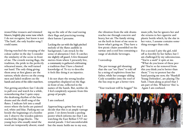ironed blue trousers and trimmed blazers, brightly play some tune which I do not recognise, but know is not 'The Sash', the only loyalist song I could name.

Having watched the trooping of the colour earlier in the day I consider the similarity of the scene in front of me. The crowds waving flags, the tradition, the pride in the perfectly rehearsed music, the well turned out band. The only thing giving them away at first glance are the tattoos; whole sleeves on the young men and faded swallows on the hands and arms of the older marchers.

Not getting anywhere fast I decide to pull over and watch for a while, remembering that I quite enjoy the deafening rhythm of the bass drums and the shrill song of the flutes. I indicate left into a small street where the kerbs are painted red, white and blue. Parking my car beside the beginnings of a bonfire site I observe the wooden palettes stacked like Jenga blocks. The young boys who usually mind the wood are temporarily absent; standing on the side of the road waving their flags and practicing tossing their batons I presume.

Locking the car with the high pitched melody of the flutes audible in background, I am struck by the sense of alienation I feel. It catches me slightly off guard. A few thousand metres from where I presently live, a community is gathered celebrating a tradition that I have a limited knowledge of. To try to describe it feels like doing it an injustice.

I do not share the strong loyalist sympathies displayed on the flags in front of me, reflected in the names of the bands. But, neither do I feel completely separate from this group of people.

#### I am confused.

Approaching a grimy bus stop I decide that this is an ample vantage point. I sit down beside a peeling poster which informs me that I am watching the East Belfast UVF memorial parade. I feel uncomfortable but the music holds me to my seat,

the vibration from the side drums reaches me through concrete and heavy, hot air. The family sitting on the kerb in front of me seem to know what's going on. They have a few picnic chairs assembled on the tarmac and a cool box containing a range of alcoholic beverages.

#### I eavesdrop.

The pre-teenage girl shouting that she can "see Dave" is told off by a string of expletives from her father, while her younger sibling Cody scrambles onto the roof of the bus stop to get a better view.

"Your tracksuit will be boggin'" his

mum yells, but he ignores her and she returns to her cigarette and plastic bottle which, by the slur in her voice, I assume contains something stronger than coke.

For a second I pity the girl, told off so forcibly by her father, but I am challenged by my subconscious. "You're a snob" it spits at me. "What do you know of these people? You're so far removed from this you think you're better than them." I try to protest but the band passing me now, the 'Shankill Young Defenders', are playing The Sash. I hum along as proof that I am part of this. Whatever 'this' is. Again I am confused.

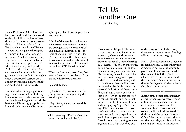I am a Protestant. Church of Ireland born and bred, but this world of the Shankill Defenders, of bass drums and swallow tattoos is something that I know little of. I am British only for my love of Prince William and allegiance during the Olympics and other major sporting events. At all other times I am Northern Irish. I enjoy the banter, I detest Guinness, I play the tin whistle moderately well and the Bodhrán badly. I play club cricket and attended a respectable state grammar school, yet I still thoroughly enjoy a traditional 'session' on a Sunday evening in a dodgy republican bar behind Castle Court.

I wonder what these people standing around me would think if they knew who I was. If they knew that a Gaelic jersey hung in my wardrobe beside my Ulster rugby top. If they knew that alongside my Protestant

upbringing I had learnt to play Irish instruments.

I think of the people who live only a few streets away where the signs are bi-lingual. Do the residents of Lúb Thulach Phointinsèir feel the same alienation from this as I do? Do they sit inside their houses, as oblivious as I would have been, if it were not for the round policeman and the yellow DOE diversion signs?

When the final band passes forty five minutes later I walk away leaving Cody and his older sister to their lives.

I go back to mine.

By the time I return to my car the young boys are back guarding the wooden palettes.

"Hey missus, you *gat* any wood for the bonnie?"

KT is a newly qualified teacher from County Down living in Belfast.

### I like movies. It's probably not a shock to anyone who knew me at university, where my three years of undergraduate study seemed to pretty much revolve around sitting in a cinema. Which isn't quite true, but on occasion (usually Mondays) was not entirely inaccurate either. My theory is you could divide film into two broad categories if you wished: those with narrative, and those without. Now, a film theorist would probably slap down my personal definitions of these: those films that make sense, and those that don't. Or, those that most of us can sit through, and those that most of us will get out our phones and start playing Angry Birds during. Film theorists would tell you that's not really the definition of narrative, and strictly speaking they

would be completely correct. But I would point out, wanting to make arguments like that would be one

of the reasons I think their 1987 documentary about potato farming falls into the latter category.

Film is, obviously, primarily a medium for telling stories. Cynics will say this is mostly to get you, the viewer, to pay to watch said stories. Besides that salient detail, there's a hell of a lot of narratives floating around the cinema and TV screens at any one time, with a huge cumulative audience absorbing these stories.

### Come Co

Initially at the behest of the publisher of this very journal, I've recently been imbibing several episodes of the ever-popular radio series This American Life - thisamericanlife. com, a public radio show based entirely around the telling of stories. Often following a particular theme for that episode, contributors bring a myriad of stories to the airwaves.

# Tell Us Another One

by Peter Huey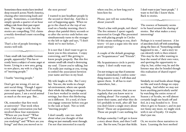Sometimes these stories have involved deep research across North America, chasing after interesting leads and people. Sometimes, a contributor simply spends a quarter of an hour telling a tale from their past experience. The range is wide, but the stories are compelling; TAL claims a weekly download count exceeding 400,000.

That's a lot of people listening to stories well told.

- Noce

I hate small talk (not unlike German people, apparently.) This has recently been a subject of some angst at home. Living in a new area, going to new places, my wife is a big fan of "meeting people."

I loathe "meeting people."

Don't get me wrong, it's not an anti-social thing. Though I appreciate some regular, head-soothing personal space, I am a social animal as much as the next guy. But...

Ok, remember that first week at university? That week when every single conversation you had involved these four statements: "Where are you from?" "What school did you go to?" "What are you studying?" and "Where are you living?" and then you moved on to

#### the next person?

I wanted to just headbutt people by the second or third day. And this is sort of happening again. When we go to the church at the top of our road on a Sunday morning, there's always that painful thirty seconds or so after the service ends before one simultaneously turns to the stranger to the left or right and says, "I don't think we've met before..."

It is not that I don't want to get to know you in this situation. I enjoy conversing, and I like getting to know people properly. But this five minute small talk ritual is destroying my soul. I know you're talking, but I'm really just staring at you, trying to embed the association between your name and face in my head.

My wife laughs at this. But I envy her. You see, she works in a hospital environment, where one spends their whole day talking to strangers. I too have worked in similar social settings, but there this blethering on is different. It's a tool, it's how you engage someone before you get to the task at hand. Not so with "meeting people".

I don't usually care too much about what you thought of that thing we just mutually went through. I'm not that interested in exactly

where you live, or how long you've been here for.

Please, just tell me something about yourself.

There's a line with people, isn't there? The five minutes I spent vaguely interested in Google Plus presented me with placing people in Circles (if this means nothing to you, don't worry - it's just a segue into the next point anyway.)

A couple of the default groupings are "Acquaintances" and "Friends".

My Acquaintances circle is pretty empty. I don't really want any.

I'm not trying to say that if someone doesn't immediately confess something massive to me, I will shun and ignore them. It all has to start somewhere, but...

Do you know anyone, that you see regularly, that you know next to nothing about? For example, you know their name, and what they do (it's probably in work, after all) but you don't know a single story about them? Those are acquaintances. Those are people I care nothing for.

Perhaps someday I will get to know a story about them, and then I will care. But for now, I'm just that fickle. I don't want to just "meet people." I want to feel like I know them. Back to stories.



The essence of humanity seems to be based around the sharing of stories. But what makes a story interesting?

Perhaps it is vested interest. A lot of anecdotes kick off with something along the lines of, "Something similar happened to me…" and a story we can identify with is then related. This may be the teller wanting to hear the sound of their own voice, and spotting the opportunity to chip in, but, either way, he and the listener may also be bonded though this realisation of shared experience.

Similarly, we read books about things we like and watch things we enjoy watching. And whilst we may not learn anything particularly useful by watching the entire rerun of Season 2 of Scrubs, we will almost certainly laugh our heads off and feel, in a way, bonded to it. Even when it gets to Season 7, and its just not funny any more, we might stick with it out of loyalty. Or maybe that's just me.

Or, we receive these narratives to learn. Learning the best method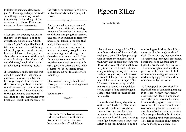by following someone else's example. Or learning, perhaps, not to do something the same way. Maybe just gaining the knowledge of the experience of others. Either way, we want to hear these stories.

Deep-

Most days, my opening routine in the office is the same. I boot up everything. Check Mail. Check Twitter. Open Google Reader and take a few minutes to read through all the blogs posts from the last 24 hours, which conveniently takes about the same amount of time as it does to drink my coffee. Once that's out of the way, I might think about actually doing something 'useful'.

It seems strange, on the face of it, that once I have checked what communications I have received (which, before getting stuck into whatever the current project is, makes some sense) the next step is always to sit and read stories. Maybe it equates to the gentlemanly tradition of dissecting the day's newspaper over breakfast. But it's not the same - of the forty or so subscriptions I have in Reader, nearly half are people I know.

**Soule** 

Back to acquaintances, where we'll finish. I've just finished speaking to one - a "remember that one time we did that thing together" person. The person in question is perfectly normal, but falls into the trap that many I meet seem to—let's not converse about anything new, but instead, desperately struggle to set up common ground through the shared experience we once had (in this case, a volunteer week we did together about eight years ago.) It was a good week, from the little I now remember of it. Justifiable as the foundation, but not the entirety of a friendship.

I like you well enough, but I don't know you. Tell me something about yourself first.

Tell me a story.

Deel<sup>8</sup>

Peter curates the Lawkit, makes videos, is a husband to Ruth and likes to make music. Read and hear more at http://lawk.it/pete

# Pigeon Killer

#### by Ericka Lynch

I hate pigeons on a good day. The term "rats with wings" I use regularly, with gusto even. The flying scourge that decorate monuments, block walk ways and audaciously stare you down when you eat your lunch burn no pity within my breast. I almost enjoy watching the wayward beasts as they thoughtlessly amble across a crowded highway, dare I say it, playing chicken with oncoming traffic. However, the tune of my hateful mantra was recently changed due to the plight of one pitiful pigeon. Here is the retold account of that fateful day.

It was a beautiful sunny day in front of St. Anne's Cathedral. The wind was gently laughing through the trees as I settle down for a few moments of solitude to quietly consume my breakfast and morning cup of joe before work. I knew that a fleet of pigeons lived close by and

was hoping to finish my breakfast unnoticed by the neighbourhood flock. To my dismay, they found me. The gathering scavengers assembled before me, bobbing their empty heads before me and my breakfast. The sideways glances of lust they gave my muffin made me blush. I turn away sheltering its innocence so that only my peripheral vision was accosted by the horde.

As I reengaged my breakfast I noticed a flicker of something limping in the corner of my eye. Quickly dismissing the idea of humpbacks and cathedrals, I assumed it must be one of the pigeons. I turn to discover one of these feathered fiends was hopelessly bound by a murderous piece of twine. Being a creature of non-opposable thumbs, it had no way of freeing itself from its bonds. The deeper stirrings of my nature were suddenly awakened at the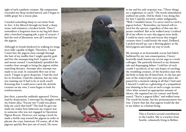sight of such a pathetic creature. My compassions overruled my deep-seeded hatred, and I began to wildly grope for a rescue plan.

I needed something sharp to cut twine from its feet. A list filtered through my head: a sharp stone; nail trimmers; a broken bottle. Then I remembers a forgotten item in my bag left there after a botched wrapping job; a pair of scissors. I had the tool of liberation: now all I needed was the pigeon.

Although its bonds hindered its walking its wings were fully capable of flight. Therefore, I knew I must lure the pigeon close enough through the bait of my muffin that I might quickly grab and free the unsuspecting bird. A game of cat and mouse ensued. I nonchalantly sprinkled the crumbs close enough to bring the pigeon within snatching distance. Attempt after attempt was made to no avail. It constantly flew out of my reach. I began to grow desperate. I had the tool for its freedom, I had the solution, but my time was running out (I had to be at work soon!) Knowing that I could never catch the skittish creature on my own, I soon began to look for reinforcements.

Just then, a passerby suddenly appeared. Driven mad by desperation, I interrupt his thoughts with my frantic plea, "Excuse me? Could you please help me catch that bird?" The look he gave me made me realise how ludicrous my request was to someone who was not engaged in Operation Pigeon Rescue. However, not saying a word, he made a feeble step toward the pigeon in order to placate the crazy American. Of course, all of the pigeons quickly flew just out of reach. He turns



to me and his only response was, "Those things are a nightmare to catch." His words immediately stabbed my pride. Did he think I was doing this for fun? I quickly retorted, rather indignantly, "Well, I wouldn't know, I've never tried to catch a pigeon before." Remember, my hatred still existed for the species, regardless of this one des perate ornithod. But as he walked away I realised all of my efforts to save this pigeon were futile. I could no more catch and rescue this winged creature then I could bottle the wind. Deflated, I picked myself up, cast a fleeting glance at the fated pigeon and made my way to work.

My attempt at an honourable rescue had failed. Saddened by my vain emancipation, I heavyheartedly made known my recent saga to a work colleague. She patiently listened to my dramatic tale and disparaging failure. I told her of each crumb I sacrificed, of my vain hopes of catching the trembling creature, of the heartless man who did little to help the ill-fated bird. As the last pin ions of the relayed plot were put into place she paused for a moment taking in all that I had said. I fancied I could see a glistening of a sympathetic tear shinning in her eyes at such a tragic account. After what seemed an appropriate amount of silence, she regained my eye contact and firmly stated, "You're a pigeon killer," and walked away. The words hit home, but her pronouncement was true. I knew that day that pigeon would die due to my failure as a human being.

> This is Ericka's second contribution to the Lawkit. She is a teacher from Seattle, voluntarily living in Belfast.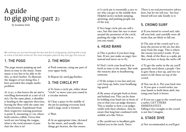# A guide to gig going (part 2)

by Jonathan Kirk

We continue our journey through the dos and don'ts of gig going, starting with a look at some of the best moves for the most energetic place at any rock gig: the most pit .

### 1. THE POGO

The pogo means jumping up and down in time to the music. Some music is too fast to be able to do this, so don't bother. To illustrate the dangers of not doing this, I have provided this simple maths problem:

At 22:30, a chin leaves the air and is travelling downwards at a rate of 9.8 m/s, On the same plane, a shoulder is heading in the opposite direction, leaving the floor with the same rate of deceleration. Equidistant from their respective starting positions is point X, measuring 20 cm, where both entities collide. Given that teeth are not biting the tongue, what is the total amount of pain that the chin is in?

### 2. THE MOSH

a) Push someone, using any part of your upper body.

b) Repeat (a), until gig finishes.

### 3. THE CIRCLE PIT

a) To form a circle pit, either shout "circle" or move your arm round in a circular motion.

b) Clear a space in the middle of the pit by pushing everyone back until a large circle is formed.

c) Wait.

d) At an appropriate time, dictated by the music, and usually when things get heavier, the fun ensues.

e) A circle pit is essentially a race to see who can get to the middle first. Helpful tactics include jumping, sprinting, and pushing people out of the way.

f) Very large circle pits are still a race, but this time the race is more around the perimeter of the circle, pushing the edge of the circle as you run round.

### 4. HEAD BANG

a) This is perfect if you have long hair. If not, just make an angry face instead and move on to #5.

b) Nod / circle your head back in forth in time to the music. But with the tenacity akin to headbutting someone.

c) If the tempo is too fast and you can't keep up, halve your headbanging speed.

d) Be aware of people both in front and behind you. This can be done by holding your hand out in front of you so that you can judge distance. This is similar to how a cat judges width with their whiskers. Also be aware that long hair combined with stubble acts like Velcro.

e) Be careful not to headbutt girls behind you in the teeth. Twice.

There is no real preventative advice here, but let me tell you - her boyfriend will not take kindly to it.

### 5. CROWD SURF

a) If you intend to crowd surf, take off your belt, and carefully store all items that are likely to fall out.

b) The aim of the crowd surf is to keep the person in the air, but also away from the stage. This is where the enemy (security) reside. If you like, think of the floor as a spike pit that you have to keep the surfer off.

c) To get the surfer in the air, you'll generally need about 3 people. One to give them a foot up, and two (or more) to lift them on top of the crowd.

d) You can do it. Put your back into it. If you spot a crowd surfer, use your hands to hold them aloft, but using your back is better.

e) If you see a gap in the crowd near a surfer, GET THERE IMMEDIATELY. Falling 6 feet straight to the crowd is not fun I imagine.

### 6. STAGE DIVE

a) Not recommended as you'll gen-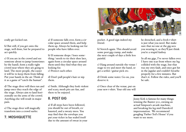erally get kicked out.

b) But still, if you get onto the stage, well done, but be prepared to act quickly.

c) If you are in the crowd and see someone about to jump (sometimes by the band), form a really tight crowd near where they are going to land. The more people, the easier it will be to keep them from falling. Put your hands in the air. Think of it as a game of "catch the human".

d) The stage diver will then run and jump once they reach the edge of the stage. Always aim to land horizontally on the arms of the crowd. Anything else will result in major pain.

e) The stage diver will magically transform into a crowd surfer.

### 7. MOSHIQUETTE

a) If someone falls over, form a circular space around them, and help them up. Always be looking out for people who have fallen over.

b) If someone drops / loses something / needs to tie their shoe lace, again form a circular space around them until they find what they are looking for. c) Protect each other.

d) Don't pull people's hair or nip them.

e) Smile. Although they look violent and scary, mosh pits are fun, and there to be enjoyed.

### 8. POST GIG

a) If all steps have been followed, you should be out of breath, exhausted, and a sweaty mess. You may find that the envelope you put your ticket in has sealed itself due to the amount of sweat in your



pocket. A good sign indeed my friend.

b) Stretch again. This should avoid some post-gig cramp, and make the next couple of days a little less painful.

c) Hang around outside the venue / stage to try and meet the band, or get a setlist / guitar pick etc.

d) Drink some water. Go on, you deserve it.

e) Once clear of the venue, put on your new t-shirt. Your old one will

be drenched, and a fresh t-shirt is just what you need. But make sure that no-one at the gig sees you wearing it, as they'll just think you're a stupid fanboy.

In all my gigs, I've never fallen over. I have one scar from where my leg collided with the stage, but that was my own fault, and once got hit in the jugular and couldn't breathe properly for a few minutes. But that's it. Follow the rules, and you'll be safe.

Jonny Kirk is famous for many things: winning the Banter 500, owning an actual Simpson's arcade machine, and breaking his leg mid-Daredevil impersonation. We recommend googling 'Father Ted's House' if you want to see more.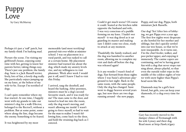# Puppy Love

Perhaps it's just a 'ruff' patch, but my family think I'm barking mad.

Picture the scene. I'm visiting my girlfriend's house, enjoying some time with her, getting to know her parents better, taking things easy. There's just one problem: the family dog. Susie is a Jack Russell terrier, lively, lots of fun, a lovely dog really. She particularly enjoys jumping up on my knee, at the behest of my wife-to-be. Except I'm terrified of dogs.

I can't quite remember where my fear started. At one time, I happily went with my granda to take our minister's dog for a walk (Hector, belonged to the Rector!), without a problem. But at some point, somewhere along the line, dogs became the enemy. Something to be feared.

It was heightened by my most

memorable (and most terrifying) pastoral visit ever whilst at minister school. I was on placement in a rural parish, and was tasked to call at a certain home. My placement minister had warned me about the dog, which made my anxiety levels rise, and my willingness to visit plummet. Week after week I would put it off, until I knew I had to visit this Friday.

I arrived, rang the doorbell, and heard the barking. After postmen, minsters must be a dog's second favourite snack, and it was ready for me! The man came to the door, and turned to lead me into the room, only the dog wasn't moving, and wasn't allowing me inside! I wasn't going to force myself, so had to wait for the man to realise I wasn't following him, come back to the door, and hold the straining dog back as I entered.

by Gary McMurray Could it get much worse? Of course it could. Seated at the kitchen table opposite the husband and wife, I was very conscious of a puddle forming on my knee. I hadn't wet myself - it was dog drool as it sat guarding its master and making sure I didn't come too close, ready to attack at any moment.

> Thankfully the family realised, and the dog was banished to another room, allowing me to complete my visit and dash off before the dog was released again!

> Is it any wonder I wasn't fond of dogs. Fast forward from those nights where I was Susie's adventure playground to last night. Back in the same room, with the same people. Only the dog has changed. Susie went to doggy heaven several years ago, but now there are two dogs running around - the new puppy,

Poppy, and our dog, Pippa, both miniature Jack Russells.

Our dog? Yes! After lots of lobbying, we got Pippa over a year ago. The first few nights were desperate as she howled for her mother and siblings, but she's quickly settled into our wee house, so that we're now inseparable. As it turns out, I'm the chief feeder, walker, and poo-picker-upper, and enjoying it immensely. The canine capers are continuing, and we're having great fun with a dog that never stops running about, always playful, so that even the outside toilet trips in the middle of the coldest nights of winter with snow higher than Pippa's head seem like fun.

Diamonds may be a girl's best friend, but girls, you can keep your diamonds; it's a dog every time for me.

Gary has recently moved to the damper climes of Fermanagh with his wife Lynsey and their dog. Read more at http://lawk.it/gary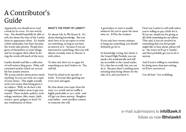# A Contributor's Guide

Apparently, you should never read a book by its cover. It's not strictly true. You should hopefully be able to tell a lot about the tone of the Lawkit from its appearance alone. It's maybe a little minimalist, but that's because the words take priority. People have given of themselves to write things, and we recognise their effort by letting the words tell much of the story.

Lawkit should read like a collection of well-written blog posts. Pithy, selfcontained articles which are accessible but assume interest.

We accept articles about pretty much anything. So you can write on a topic of your choice. This might actually seem even worse than being given a set subject. Well, we do have a list of suggested subject areas to get you started. These include: politics, technology, outdoors, film, music, faith, science, sport, gadgets or food. Or any combination of those.

### WHAT'S THE POINT OF LAWKIT?

It's about Life As We Know It. It's about sharing knowledge. But you don't have to be an expert to write on something, as long as you have an interest in it - because if you are interested in something, then you will almost certainly want to 'discuss' it with others.

To that end, don't try to argue for something you don't believe in. You will fail.

Don't be afraid to be specific or niche. Everyone likes geeking out every now and again.

Be clear about your topic from the start: 500 words and no waffle is highly preferable to 1500 with - and it'll get cut down anyway. Slaughter your babies - omit needless content or someone else will.

A good place to start is usually whatever bit you've spent the most time on. It'll be the weakest.

If you only have twenty minutes to bang out something, you should definitely go for it.

So knowledge is king, but clarity is the Grand High Poobah; you can speak a bit academically and still say accessible to the casual reader. It's a fine line to walk, but you can do it. Because there's nothing more irritating than being obtuse for the sake of it, and you know it.

Don't use Lawkit to sell stuff, unless you're willing to pay a little for it. If you are, thank-you for giving us all a little something for our efforts. That said, if you are involved in something that you feel people might like to hear about, please tell us - the worst we'll say is 'maybe', and then probably get you to do it anyway.

And if you're willing to contribute by doing more than just writing, we'll love you forever.

Got all that? Get scribbling.

e-mail submissions to info@lawk.it follow us now @thelawkit